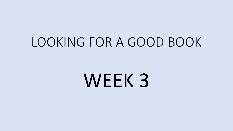### LOOKING FOR A GOOD BOOK

## WEEK 3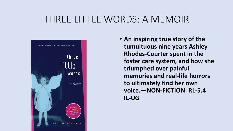#### THREE LITTLE WORDS: A MEMOIR



• **An inspiring true story of the tumultuous nine years Ashley Rhodes-Courter spent in the foster care system, and how she triumphed over painful memories and real-life horrors to ultimately find her own voice.—NON-FICTION RL-5.4 IL-UG**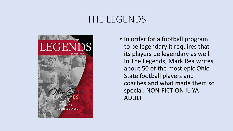#### THE LEGENDS



• In order for a football program to be legendary it requires that its players be legendary as well. In The Legends, Mark Rea writes about 50 of the most epic Ohio State football players and coaches and what made them so special. NON-FICTION IL-YA - ADULT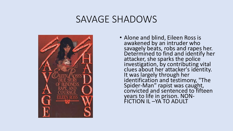#### SAVAGE SHADOWS



• Alone and blind, Eileen Ross is awakened by an intruder who savagely beats, robs and rapes her. Determined to find and identify her attacker, she sparks the police investigation, by contributing vital clues about her attacker's identity. It was largely through her identification and testimony, "The Spider-Man" rapist was caught, convicted and sentenced to fifteen years to life in prison. NON-FICTION IL –YA TO ADULT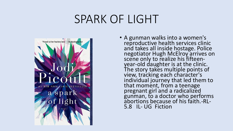### SPARK OF LIGHT



• A gunman walks into a women's reproductive health services clinic and takes all inside hostage. Police negotiator Hugh McElroy arrives on scene only to realize his fifteenyear-old daughter is at the clinic. The story takes multiple points of view, tracking each character's individual journey that led them to that moment, from a teenage pregnant girl and a radicalized gunman, to a doctor who performs abortions because of his faith.-RL-5.8 IL- UG Fiction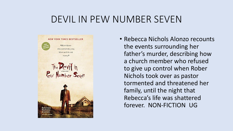#### DEVIL IN PEW NUMBER SEVEN



• Rebecca Nichols Alonzo recounts the events surrounding her father's murder, describing how a church member who refused to give up control when Rober Nichols took over as pastor tormented and threatened her family, until the night that Rebecca's life was shattered forever. NON-FICTION UG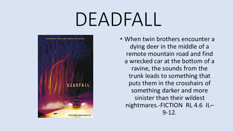# DEADFALL



• When twin brothers encounter a dying deer in the middle of a remote mountain road and find a wrecked car at the bottom of a ravine, the sounds from the trunk leads to something that puts them in the crosshairs of something darker and more sinister than their wildest nightmares.-FICTION RL 4.6 IL– 9-12.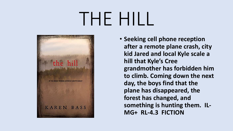## THE HILL



• **Seeking cell phone reception after a remote plane crash, city kid Jared and local Kyle scale a hill that Kyle's Cree grandmother has forbidden him to climb. Coming down the next day, the boys find that the plane has disappeared, the forest has changed, and something is hunting them. IL-MG+ RL-4.3 FICTION**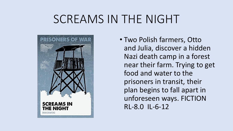### SCREAMS IN THE NIGHT



• Two Polish farmers, Otto and Julia, discover a hidden Nazi death camp in a forest near their farm. Trying to get food and water to the prisoners in transit, their plan begins to fall apart in unforeseen ways. FICTION RL-8.0 IL-6-12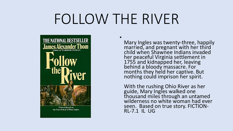## FOLLOW THE RIVER

•



A Novel Based on the True Ordeal of Mary Ingles

Mary Ingles was twenty-three, happily married, and pregnant with her third child when Shawnee Indians invaded her peaceful Virginia settlement in 1755 and kidnapped her, leaving behind a bloody massacre. For months they held her captive. But nothing could imprison her spirit.

With the rushing Ohio River as her guide, Mary Ingles walked one thousand miles through an untamed wilderness no white woman had ever seen. Based on true story. FICTION-RL-7.1 IL UG